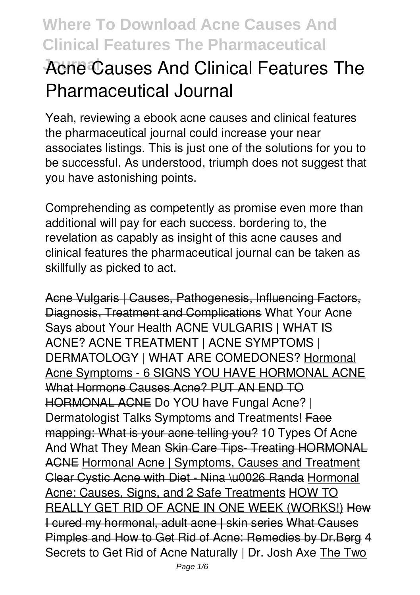## **Acne Causes And Clinical Features The Pharmaceutical Journal**

Yeah, reviewing a ebook **acne causes and clinical features the pharmaceutical journal** could increase your near associates listings. This is just one of the solutions for you to be successful. As understood, triumph does not suggest that you have astonishing points.

Comprehending as competently as promise even more than additional will pay for each success. bordering to, the revelation as capably as insight of this acne causes and clinical features the pharmaceutical journal can be taken as skillfully as picked to act.

Acne Vulgaris | Causes, Pathogenesis, Influencing Factors, Diagnosis, Treatment and Complications **What Your Acne Says about Your Health ACNE VULGARIS | WHAT IS ACNE? ACNE TREATMENT | ACNE SYMPTOMS | DERMATOLOGY | WHAT ARE COMEDONES?** Hormonal Acne Symptoms - 6 SIGNS YOU HAVE HORMONAL ACNE What Hormone Causes Acne? PUT AN END TO HORMONAL ACNE Do YOU have Fungal Acne? | Dermatologist Talks Symptoms and Treatments! Face mapping: What is your acne telling you? *10 Types Of Acne And What They Mean* Skin Care Tips- Treating HORMONAL ACNE Hormonal Acne | Symptoms, Causes and Treatment Clear Cystic Acne with Diet - Nina \u0026 Randa Hormonal Acne: Causes, Signs, and 2 Safe Treatments HOW TO REALLY GET RID OF ACNE IN ONE WEEK (WORKS!) How I cured my hormonal, adult acne | skin series What Causes Pimples and How to Get Rid of Acne: Remedies by Dr.Berg 4 Secrets to Get Rid of Acne Naturally | Dr. Josh Axe The Two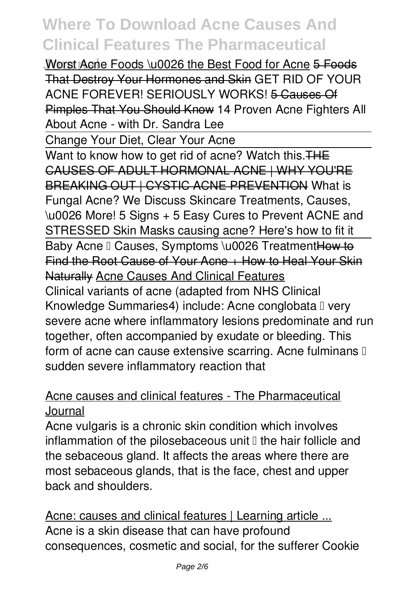**Worst Acne Foods \u0026 the Best Food for Acne 5 Foods** That Destroy Your Hormones and Skin *GET RID OF YOUR ACNE FOREVER! SERIOUSLY WORKS!* 5 Causes Of Pimples That You Should Know **14 Proven Acne Fighters All About Acne - with Dr. Sandra Lee**

Change Your Diet, Clear Your Acne

Want to know how to get rid of acne? Watch this. THE CAUSES OF ADULT HORMONAL ACNE | WHY YOU'RE BREAKING OUT | CYSTIC ACNE PREVENTION *What is Fungal Acne? We Discuss Skincare Treatments, Causes, \u0026 More!* **5 Signs + 5 Easy Cures to Prevent ACNE and STRESSED Skin** Masks causing acne? Here's how to fit it Baby Acne I Causes, Symptoms \u0026 TreatmentHow to Find the Root Cause of Your Acne + How to Heal Your Skin Naturally Acne Causes And Clinical Features Clinical variants of acne (adapted from NHS Clinical Knowledge Summaries4) include: Acne conglobata I very severe acne where inflammatory lesions predominate and run together, often accompanied by exudate or bleeding. This form of acne can cause extensive scarring. Acne fulminans  $\mathbb I$ sudden severe inflammatory reaction that

### Acne causes and clinical features - The Pharmaceutical Journal

Acne vulgaris is a chronic skin condition which involves inflammation of the pilosebaceous unit  $\mathbb I$  the hair follicle and the sebaceous gland. It affects the areas where there are most sebaceous glands, that is the face, chest and upper back and shoulders.

Acne: causes and clinical features | Learning article ... Acne is a skin disease that can have profound consequences, cosmetic and social, for the sufferer Cookie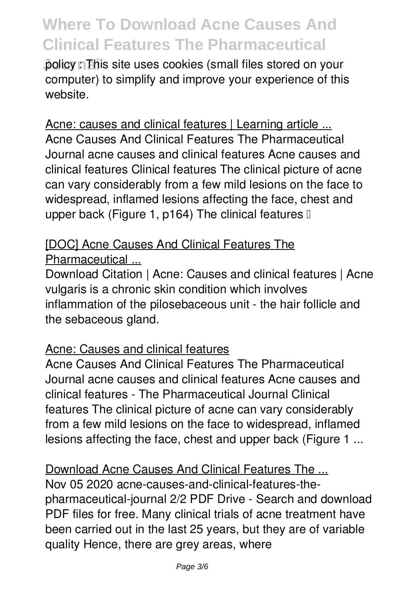**Journal policy in This site uses cookies (small files stored on your** computer) to simplify and improve your experience of this website.

#### Acne: causes and clinical features | Learning article ...

Acne Causes And Clinical Features The Pharmaceutical Journal acne causes and clinical features Acne causes and clinical features Clinical features The clinical picture of acne can vary considerably from a few mild lesions on the face to widespread, inflamed lesions affecting the face, chest and upper back (Figure 1, p164) The clinical features  $\mathbb I$ 

### [DOC] Acne Causes And Clinical Features The Pharmaceutical ...

Download Citation | Acne: Causes and clinical features | Acne vulgaris is a chronic skin condition which involves inflammation of the pilosebaceous unit - the hair follicle and the sebaceous gland.

#### Acne: Causes and clinical features

Acne Causes And Clinical Features The Pharmaceutical Journal acne causes and clinical features Acne causes and clinical features - The Pharmaceutical Journal Clinical features The clinical picture of acne can vary considerably from a few mild lesions on the face to widespread, inflamed lesions affecting the face, chest and upper back (Figure 1 ...

### Download Acne Causes And Clinical Features The ... Nov 05 2020 acne-causes-and-clinical-features-thepharmaceutical-journal 2/2 PDF Drive - Search and download PDF files for free. Many clinical trials of acne treatment have been carried out in the last 25 years, but they are of variable quality Hence, there are grey areas, where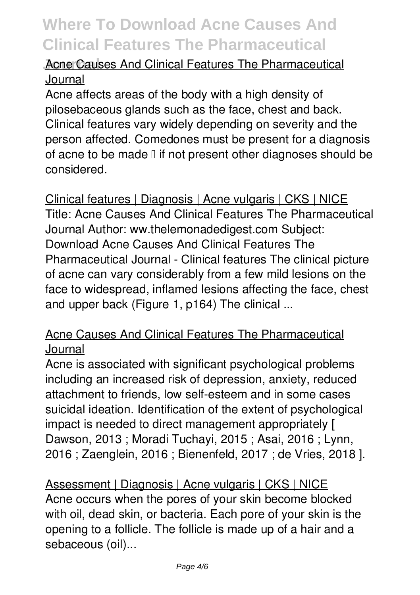### **Acne Causes And Clinical Features The Pharmaceutical** Journal

Acne affects areas of the body with a high density of pilosebaceous glands such as the face, chest and back. Clinical features vary widely depending on severity and the person affected. Comedones must be present for a diagnosis of acne to be made  $\mathbb I$  if not present other diagnoses should be considered.

Clinical features | Diagnosis | Acne vulgaris | CKS | NICE Title: Acne Causes And Clinical Features The Pharmaceutical Journal Author: ww.thelemonadedigest.com Subject: Download Acne Causes And Clinical Features The Pharmaceutical Journal - Clinical features The clinical picture of acne can vary considerably from a few mild lesions on the face to widespread, inflamed lesions affecting the face, chest and upper back (Figure 1, p164) The clinical ...

### Acne Causes And Clinical Features The Pharmaceutical Journal

Acne is associated with significant psychological problems including an increased risk of depression, anxiety, reduced attachment to friends, low self-esteem and in some cases suicidal ideation. Identification of the extent of psychological impact is needed to direct management appropriately [ Dawson, 2013 ; Moradi Tuchayi, 2015 ; Asai, 2016 ; Lynn, 2016 ; Zaenglein, 2016 ; Bienenfeld, 2017 ; de Vries, 2018 ].

Assessment | Diagnosis | Acne vulgaris | CKS | NICE Acne occurs when the pores of your skin become blocked with oil, dead skin, or bacteria. Each pore of your skin is the opening to a follicle. The follicle is made up of a hair and a sebaceous (oil)...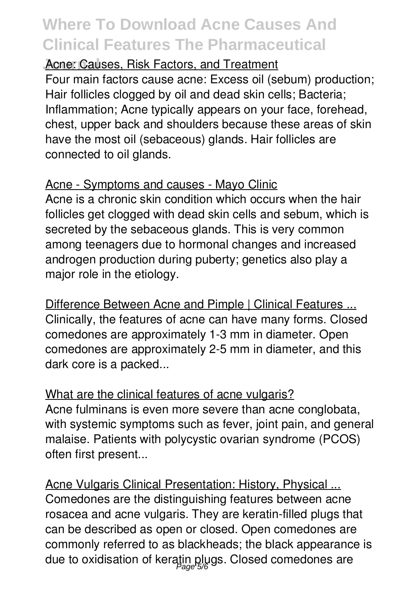**Acne: Causes, Risk Factors, and Treatment** 

Four main factors cause acne: Excess oil (sebum) production; Hair follicles clogged by oil and dead skin cells; Bacteria; Inflammation; Acne typically appears on your face, forehead, chest, upper back and shoulders because these areas of skin have the most oil (sebaceous) glands. Hair follicles are connected to oil glands.

### Acne - Symptoms and causes - Mayo Clinic

Acne is a chronic skin condition which occurs when the hair follicles get clogged with dead skin cells and sebum, which is secreted by the sebaceous glands. This is very common among teenagers due to hormonal changes and increased androgen production during puberty; genetics also play a major role in the etiology.

Difference Between Acne and Pimple | Clinical Features ... Clinically, the features of acne can have many forms. Closed comedones are approximately 1-3 mm in diameter. Open comedones are approximately 2-5 mm in diameter, and this dark core is a packed...

What are the clinical features of acne vulgaris? Acne fulminans is even more severe than acne conglobata, with systemic symptoms such as fever, joint pain, and general malaise. Patients with polycystic ovarian syndrome (PCOS) often first present...

Acne Vulgaris Clinical Presentation: History, Physical ... Comedones are the distinguishing features between acne rosacea and acne vulgaris. They are keratin-filled plugs that can be described as open or closed. Open comedones are commonly referred to as blackheads; the black appearance is due to oxidisation of keratin plugs. Closed comedones are Page 5/6